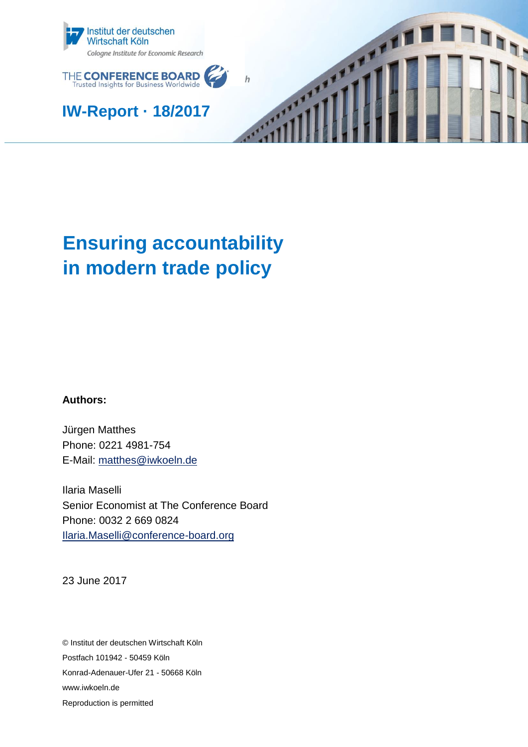



**IW-Report · 18/2017**



# **Ensuring accountability in modern trade policy**

**Authors:**

Jürgen Matthes Phone: 0221 4981-754 E-Mail: [matthes@iwkoeln.de](mailto:matthes@iwkoeln.de)

Ilaria Maselli Senior Economist at The Conference Board Phone: 0032 2 669 0824 [Ilaria.Maselli@conference-board.org](mailto:Ilaria.Maselli@conference-board.org)

23 June 2017

© Institut der deutschen Wirtschaft Köln Postfach 101942 - 50459 Köln Konrad-Adenauer-Ufer 21 - 50668 Köln www.iwkoeln.de Reproduction is permitted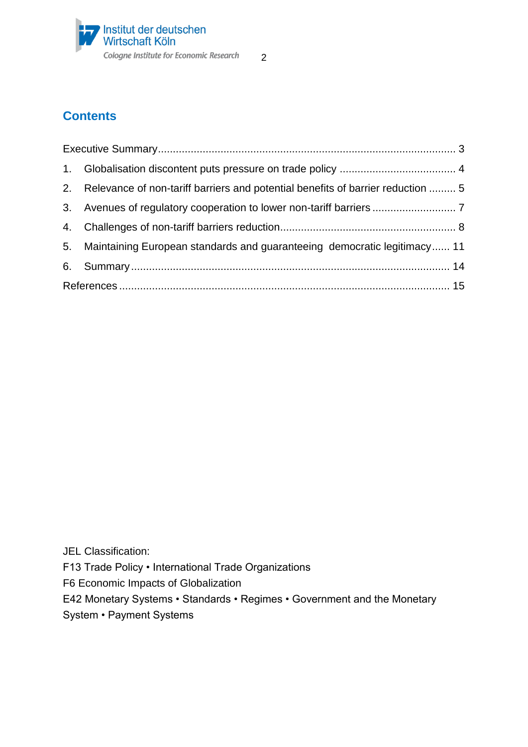

# **Contents**

| 2. Relevance of non-tariff barriers and potential benefits of barrier reduction  5 |  |
|------------------------------------------------------------------------------------|--|
|                                                                                    |  |
|                                                                                    |  |
| 5. Maintaining European standards and guaranteeing democratic legitimacy 11        |  |
|                                                                                    |  |
|                                                                                    |  |

JEL Classification: F13 Trade Policy • International Trade Organizations F6 Economic Impacts of Globalization E42 Monetary Systems • Standards • Regimes • Government and the Monetary System • Payment Systems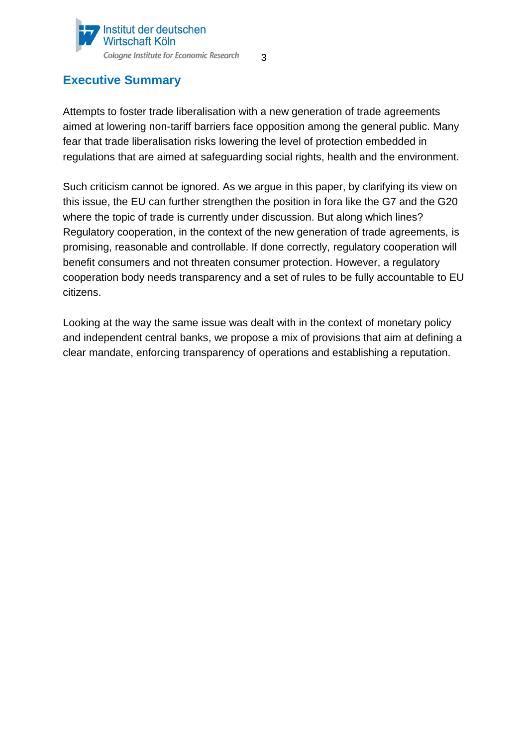

# <span id="page-2-0"></span>**Executive Summary**

Attempts to foster trade liberalisation with a new generation of trade agreements aimed at lowering non-tariff barriers face opposition among the general public. Many fear that trade liberalisation risks lowering the level of protection embedded in regulations that are aimed at safeguarding social rights, health and the environment.

Such criticism cannot be ignored. As we argue in this paper, by clarifying its view on this issue, the EU can further strengthen the position in fora like the G7 and the G20 where the topic of trade is currently under discussion. But along which lines? Regulatory cooperation, in the context of the new generation of trade agreements, is promising, reasonable and controllable. If done correctly, regulatory cooperation will benefit consumers and not threaten consumer protection. However, a regulatory cooperation body needs transparency and a set of rules to be fully accountable to EU citizens.

Looking at the way the same issue was dealt with in the context of monetary policy and independent central banks, we propose a mix of provisions that aim at defining a clear mandate, enforcing transparency of operations and establishing a reputation.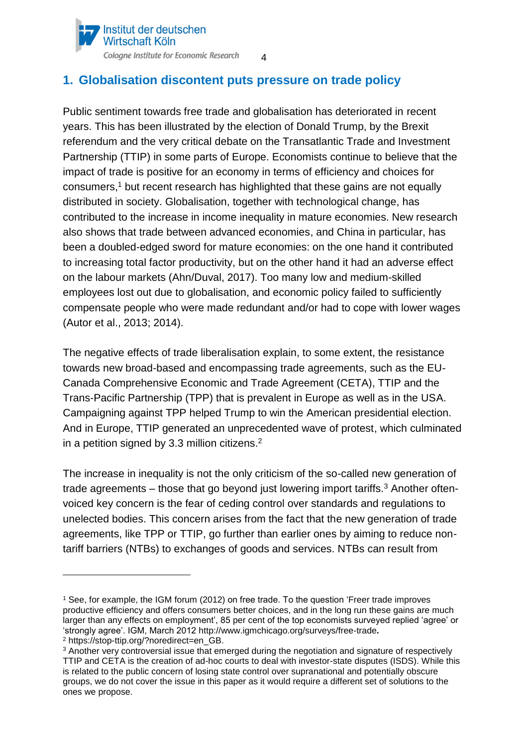

# <span id="page-3-0"></span>**1. Globalisation discontent puts pressure on trade policy**

Public sentiment towards free trade and globalisation has deteriorated in recent years. This has been illustrated by the election of Donald Trump, by the Brexit referendum and the very critical debate on the Transatlantic Trade and Investment Partnership (TTIP) in some parts of Europe. Economists continue to believe that the impact of trade is positive for an economy in terms of efficiency and choices for consumers, <sup>1</sup> but recent research has highlighted that these gains are not equally distributed in society. Globalisation, together with technological change, has contributed to the increase in income inequality in mature economies. New research also shows that trade between advanced economies, and China in particular, has been a doubled-edged sword for mature economies: on the one hand it contributed to increasing total factor productivity, but on the other hand it had an adverse effect on the labour markets (Ahn/Duval, 2017). Too many low and medium-skilled employees lost out due to globalisation, and economic policy failed to sufficiently compensate people who were made redundant and/or had to cope with lower wages (Autor et al., 2013; 2014).

4

The negative effects of trade liberalisation explain, to some extent, the resistance towards new broad-based and encompassing trade agreements, such as the EU-Canada Comprehensive Economic and Trade Agreement (CETA), TTIP and the Trans-Pacific Partnership (TPP) that is prevalent in Europe as well as in the USA. Campaigning against TPP helped Trump to win the American presidential election. And in Europe, TTIP generated an unprecedented wave of protest, which culminated in a petition signed by 3.3 million citizens.<sup>2</sup>

The increase in inequality is not the only criticism of the so-called new generation of trade agreements – those that go beyond just lowering import tariffs.<sup>3</sup> Another oftenvoiced key concern is the fear of ceding control over standards and regulations to unelected bodies. This concern arises from the fact that the new generation of trade agreements, like TPP or TTIP, go further than earlier ones by aiming to reduce nontariff barriers (NTBs) to exchanges of goods and services. NTBs can result from

<sup>1</sup> See, for example, the IGM forum (2012) on free trade. To the question 'Freer trade improves productive efficiency and offers consumers better choices, and in the long run these gains are much larger than any effects on employment', 85 per cent of the top economists surveyed replied 'agree' or 'strongly agree'. IGM, March 2012 http://www.igmchicago.org/surveys/free-trade**.**

<sup>2</sup> https://stop-ttip.org/?noredirect=en\_GB.

<sup>&</sup>lt;sup>3</sup> Another very controversial issue that emerged during the negotiation and signature of respectively TTIP and CETA is the creation of ad-hoc courts to deal with investor-state disputes (ISDS). While this is related to the public concern of losing state control over supranational and potentially obscure groups, we do not cover the issue in this paper as it would require a different set of solutions to the ones we propose.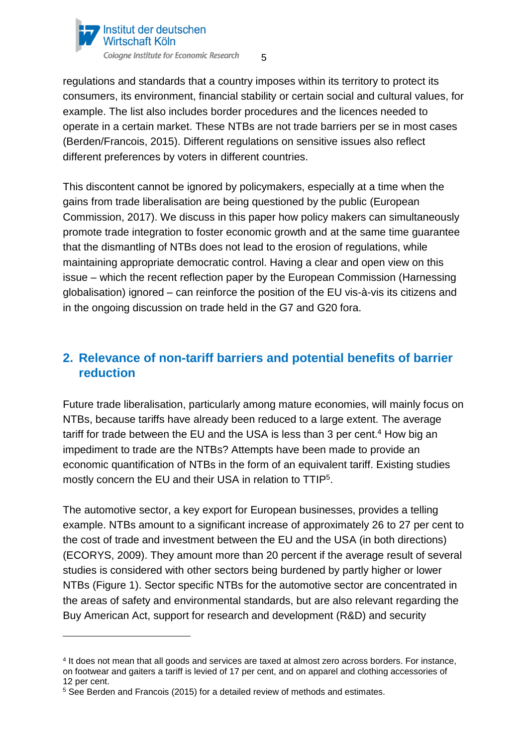

regulations and standards that a country imposes within its territory to protect its consumers, its environment, financial stability or certain social and cultural values, for example. The list also includes border procedures and the licences needed to operate in a certain market. These NTBs are not trade barriers per se in most cases (Berden/Francois, 2015). Different regulations on sensitive issues also reflect different preferences by voters in different countries.

This discontent cannot be ignored by policymakers, especially at a time when the gains from trade liberalisation are being questioned by the public (European Commission, 2017). We discuss in this paper how policy makers can simultaneously promote trade integration to foster economic growth and at the same time guarantee that the dismantling of NTBs does not lead to the erosion of regulations, while maintaining appropriate democratic control. Having a clear and open view on this issue – which the recent reflection paper by the European Commission (Harnessing globalisation) ignored – can reinforce the position of the EU vis-à-vis its citizens and in the ongoing discussion on trade held in the G7 and G20 fora.

# <span id="page-4-0"></span>**2. Relevance of non-tariff barriers and potential benefits of barrier reduction**

Future trade liberalisation, particularly among mature economies, will mainly focus on NTBs, because tariffs have already been reduced to a large extent. The average tariff for trade between the EU and the USA is less than 3 per cent.<sup>4</sup> How big an impediment to trade are the NTBs? Attempts have been made to provide an economic quantification of NTBs in the form of an equivalent tariff. Existing studies mostly concern the EU and their USA in relation to TTIP<sup>5</sup>.

The automotive sector, a key export for European businesses, provides a telling example. NTBs amount to a significant increase of approximately 26 to 27 per cent to the cost of trade and investment between the EU and the USA (in both directions) (ECORYS, 2009). They amount more than 20 percent if the average result of several studies is considered with other sectors being burdened by partly higher or lower NTBs (Figure 1). Sector specific NTBs for the automotive sector are concentrated in the areas of safety and environmental standards, but are also relevant regarding the Buy American Act, support for research and development (R&D) and security

<sup>4</sup> It does not mean that all goods and services are taxed at almost zero across borders. For instance, on footwear and gaiters a tariff is levied of 17 per cent, and on apparel and clothing accessories of 12 per cent.

<sup>5</sup> See Berden and Francois (2015) for a detailed review of methods and estimates.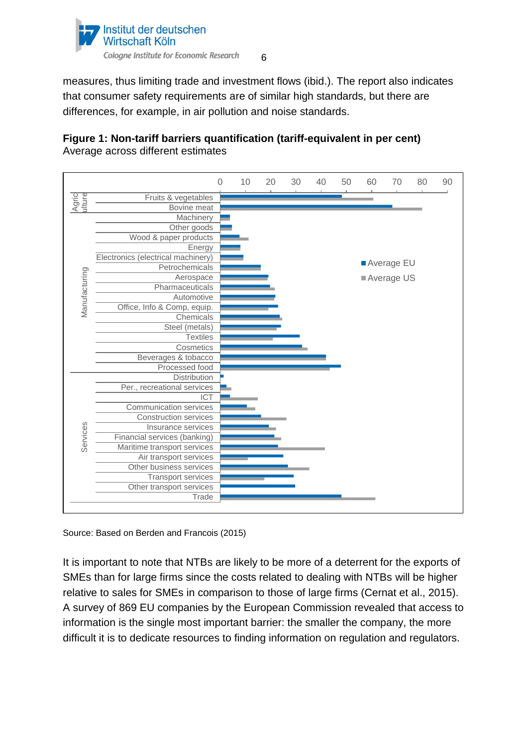

measures, thus limiting trade and investment flows (ibid.). The report also indicates that consumer safety requirements are of similar high standards, but there are differences, for example, in air pollution and noise standards.

### **Figure 1: Non-tariff barriers quantification (tariff-equivalent in per cent)** Average across different estimates



Source: Based on Berden and Francois (2015)

It is important to note that NTBs are likely to be more of a deterrent for the exports of SMEs than for large firms since the costs related to dealing with NTBs will be higher relative to sales for SMEs in comparison to those of large firms (Cernat et al., 2015). A survey of 869 EU companies by the European Commission revealed that access to information is the single most important barrier: the smaller the company, the more difficult it is to dedicate resources to finding information on regulation and regulators.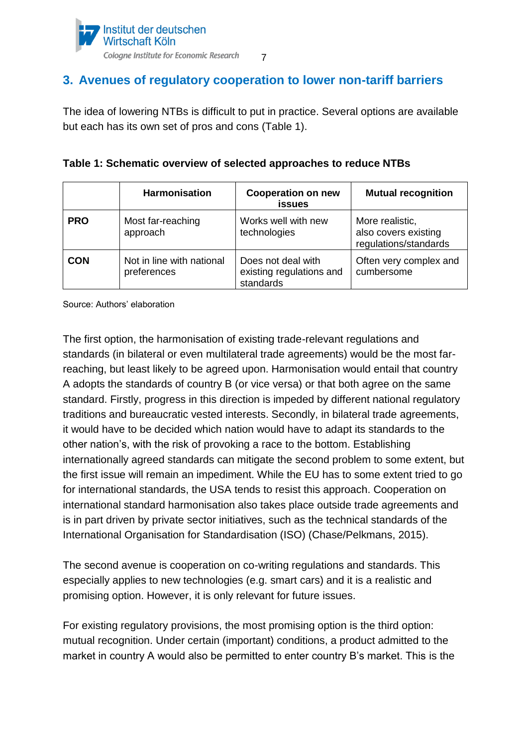

## <span id="page-6-0"></span>**3. Avenues of regulatory cooperation to lower non-tariff barriers**

The idea of lowering NTBs is difficult to put in practice. Several options are available but each has its own set of pros and cons (Table 1).

|  | Table 1: Schematic overview of selected approaches to reduce NTBs |  |  |  |  |
|--|-------------------------------------------------------------------|--|--|--|--|
|  |                                                                   |  |  |  |  |

|            | <b>Harmonisation</b>                     | <b>Cooperation on new</b><br><b>issues</b>                  | <b>Mutual recognition</b>                                        |  |
|------------|------------------------------------------|-------------------------------------------------------------|------------------------------------------------------------------|--|
| <b>PRO</b> | Most far-reaching<br>approach            | Works well with new<br>technologies                         | More realistic,<br>also covers existing<br>regulations/standards |  |
| <b>CON</b> | Not in line with national<br>preferences | Does not deal with<br>existing regulations and<br>standards | Often very complex and<br>cumbersome                             |  |

Source: Authors' elaboration

The first option, the harmonisation of existing trade-relevant regulations and standards (in bilateral or even multilateral trade agreements) would be the most farreaching, but least likely to be agreed upon. Harmonisation would entail that country A adopts the standards of country B (or vice versa) or that both agree on the same standard. Firstly, progress in this direction is impeded by different national regulatory traditions and bureaucratic vested interests. Secondly, in bilateral trade agreements, it would have to be decided which nation would have to adapt its standards to the other nation's, with the risk of provoking a race to the bottom. Establishing internationally agreed standards can mitigate the second problem to some extent, but the first issue will remain an impediment. While the EU has to some extent tried to go for international standards, the USA tends to resist this approach. Cooperation on international standard harmonisation also takes place outside trade agreements and is in part driven by private sector initiatives, such as the technical standards of the International Organisation for Standardisation (ISO) (Chase/Pelkmans, 2015).

The second avenue is cooperation on co-writing regulations and standards. This especially applies to new technologies (e.g. smart cars) and it is a realistic and promising option. However, it is only relevant for future issues.

For existing regulatory provisions, the most promising option is the third option: mutual recognition. Under certain (important) conditions, a product admitted to the market in country A would also be permitted to enter country B's market. This is the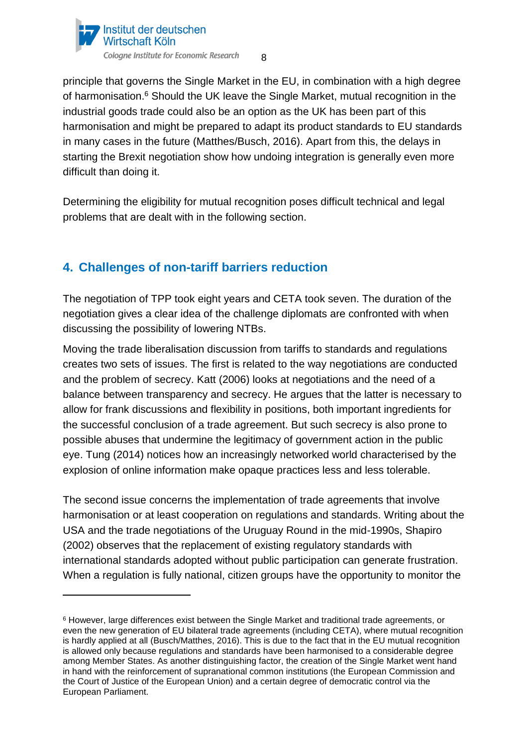

principle that governs the Single Market in the EU, in combination with a high degree of harmonisation.<sup>6</sup> Should the UK leave the Single Market, mutual recognition in the industrial goods trade could also be an option as the UK has been part of this harmonisation and might be prepared to adapt its product standards to EU standards in many cases in the future (Matthes/Busch, 2016). Apart from this, the delays in starting the Brexit negotiation show how undoing integration is generally even more difficult than doing it.

Determining the eligibility for mutual recognition poses difficult technical and legal problems that are dealt with in the following section.

# <span id="page-7-0"></span>**4. Challenges of non-tariff barriers reduction**

 $\overline{a}$ 

The negotiation of TPP took eight years and CETA took seven. The duration of the negotiation gives a clear idea of the challenge diplomats are confronted with when discussing the possibility of lowering NTBs.

Moving the trade liberalisation discussion from tariffs to standards and regulations creates two sets of issues. The first is related to the way negotiations are conducted and the problem of secrecy. Katt (2006) looks at negotiations and the need of a balance between transparency and secrecy. He argues that the latter is necessary to allow for frank discussions and flexibility in positions, both important ingredients for the successful conclusion of a trade agreement. But such secrecy is also prone to possible abuses that undermine the legitimacy of government action in the public eye. Tung (2014) notices how an increasingly networked world characterised by the explosion of online information make opaque practices less and less tolerable.

The second issue concerns the implementation of trade agreements that involve harmonisation or at least cooperation on regulations and standards. Writing about the USA and the trade negotiations of the Uruguay Round in the mid-1990s, Shapiro (2002) observes that the replacement of existing regulatory standards with international standards adopted without public participation can generate frustration. When a regulation is fully national, citizen groups have the opportunity to monitor the

<sup>6</sup> However, large differences exist between the Single Market and traditional trade agreements, or even the new generation of EU bilateral trade agreements (including CETA), where mutual recognition is hardly applied at all (Busch/Matthes, 2016). This is due to the fact that in the EU mutual recognition is allowed only because regulations and standards have been harmonised to a considerable degree among Member States. As another distinguishing factor, the creation of the Single Market went hand in hand with the reinforcement of supranational common institutions (the European Commission and the Court of Justice of the European Union) and a certain degree of democratic control via the European Parliament.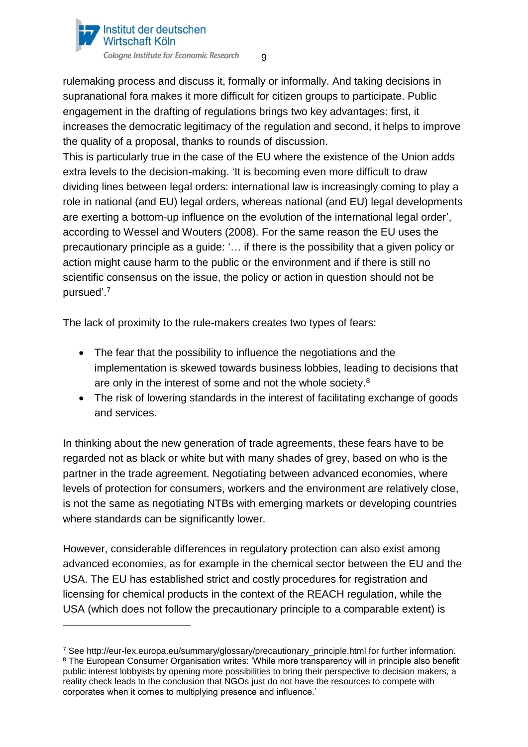

rulemaking process and discuss it, formally or informally. And taking decisions in supranational fora makes it more difficult for citizen groups to participate. Public engagement in the drafting of regulations brings two key advantages: first, it increases the democratic legitimacy of the regulation and second, it helps to improve the quality of a proposal, thanks to rounds of discussion.

This is particularly true in the case of the EU where the existence of the Union adds extra levels to the decision-making. 'It is becoming even more difficult to draw dividing lines between legal orders: international law is increasingly coming to play a role in national (and EU) legal orders, whereas national (and EU) legal developments are exerting a bottom-up influence on the evolution of the international legal order', according to Wessel and Wouters (2008). For the same reason the EU uses the precautionary principle as a guide: '… if there is the possibility that a given policy or action might cause harm to the public or the environment and if there is still no scientific consensus on the issue, the policy or action in question should not be pursued'.<sup>7</sup>

The lack of proximity to the rule-makers creates two types of fears:

- The fear that the possibility to influence the negotiations and the implementation is skewed towards business lobbies, leading to decisions that are only in the interest of some and not the whole society. $8$
- The risk of lowering standards in the interest of facilitating exchange of goods and services.

In thinking about the new generation of trade agreements, these fears have to be regarded not as black or white but with many shades of grey, based on who is the partner in the trade agreement. Negotiating between advanced economies, where levels of protection for consumers, workers and the environment are relatively close, is not the same as negotiating NTBs with emerging markets or developing countries where standards can be significantly lower.

However, considerable differences in regulatory protection can also exist among advanced economies, as for example in the chemical sector between the EU and the USA. The EU has established strict and costly procedures for registration and licensing for chemical products in the context of the REACH regulation, while the USA (which does not follow the precautionary principle to a comparable extent) is

<sup>7</sup> See http://eur-lex.europa.eu/summary/glossary/precautionary\_principle.html for further information. <sup>8</sup> The European Consumer Organisation writes: 'While more transparency will in principle also benefit public interest lobbyists by opening more possibilities to bring their perspective to decision makers, a reality check leads to the conclusion that NGOs just do not have the resources to compete with corporates when it comes to multiplying presence and influence.'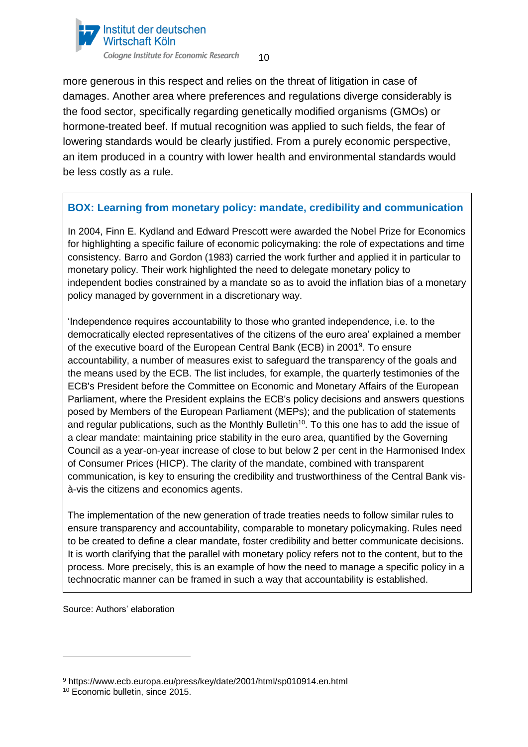

more generous in this respect and relies on the threat of litigation in case of damages. Another area where preferences and regulations diverge considerably is the food sector, specifically regarding genetically modified organisms (GMOs) or hormone-treated beef. If mutual recognition was applied to such fields, the fear of lowering standards would be clearly justified. From a purely economic perspective, an item produced in a country with lower health and environmental standards would be less costly as a rule.

### **BOX: Learning from monetary policy: mandate, credibility and communication**

In 2004, Finn E. Kydland and Edward Prescott were awarded the Nobel Prize for Economics for highlighting a specific failure of economic policymaking: the role of expectations and time consistency. Barro and Gordon (1983) carried the work further and applied it in particular to monetary policy. Their work highlighted the need to delegate monetary policy to independent bodies constrained by a mandate so as to avoid the inflation bias of a monetary policy managed by government in a discretionary way.

'Independence requires accountability to those who granted independence, i.e. to the democratically elected representatives of the citizens of the euro area' explained a member of the executive board of the European Central Bank (ECB) in 2001<sup>9</sup>. To ensure accountability, a number of measures exist to safeguard the transparency of the goals and the means used by the ECB. The list includes, for example, the quarterly testimonies of the ECB's President before the Committee on Economic and Monetary Affairs of the European Parliament, where the President explains the ECB's policy decisions and answers questions posed by Members of the European Parliament (MEPs); and the publication of statements and regular publications, such as the Monthly Bulletin<sup>10</sup>. To this one has to add the issue of a clear mandate: maintaining price stability in the euro area, quantified by the Governing Council as a year-on-year increase of close to but below 2 per cent in the Harmonised Index of Consumer Prices (HICP). The clarity of the mandate, combined with transparent communication, is key to ensuring the credibility and trustworthiness of the Central Bank visà-vis the citizens and economics agents.

The implementation of the new generation of trade treaties needs to follow similar rules to ensure transparency and accountability, comparable to monetary policymaking. Rules need to be created to define a clear mandate, foster credibility and better communicate decisions. It is worth clarifying that the parallel with monetary policy refers not to the content, but to the process. More precisely, this is an example of how the need to manage a specific policy in a technocratic manner can be framed in such a way that accountability is established.

Source: Authors' elaboration

<sup>9</sup> https://www.ecb.europa.eu/press/key/date/2001/html/sp010914.en.html

<sup>10</sup> Economic bulletin, since 2015.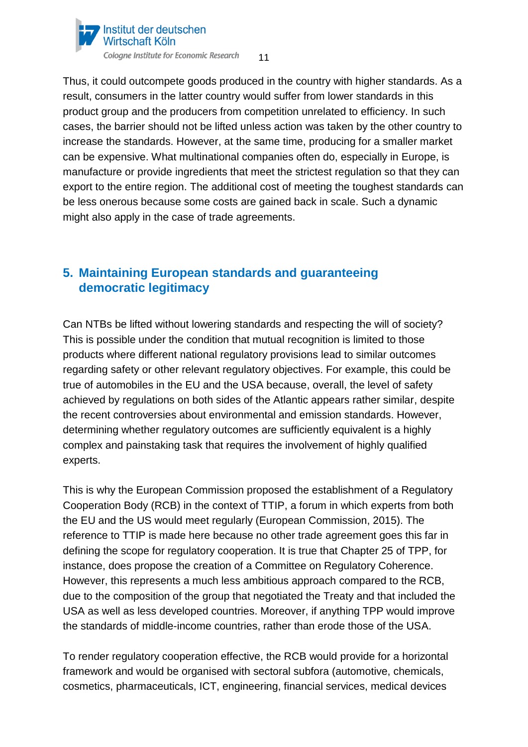

Thus, it could outcompete goods produced in the country with higher standards. As a result, consumers in the latter country would suffer from lower standards in this product group and the producers from competition unrelated to efficiency. In such cases, the barrier should not be lifted unless action was taken by the other country to increase the standards. However, at the same time, producing for a smaller market can be expensive. What multinational companies often do, especially in Europe, is manufacture or provide ingredients that meet the strictest regulation so that they can export to the entire region. The additional cost of meeting the toughest standards can be less onerous because some costs are gained back in scale. Such a dynamic might also apply in the case of trade agreements.

### <span id="page-10-0"></span>**5. Maintaining European standards and guaranteeing democratic legitimacy**

Can NTBs be lifted without lowering standards and respecting the will of society? This is possible under the condition that mutual recognition is limited to those products where different national regulatory provisions lead to similar outcomes regarding safety or other relevant regulatory objectives. For example, this could be true of automobiles in the EU and the USA because, overall, the level of safety achieved by regulations on both sides of the Atlantic appears rather similar, despite the recent controversies about environmental and emission standards. However, determining whether regulatory outcomes are sufficiently equivalent is a highly complex and painstaking task that requires the involvement of highly qualified experts.

This is why the European Commission proposed the establishment of a Regulatory Cooperation Body (RCB) in the context of TTIP, a forum in which experts from both the EU and the US would meet regularly (European Commission, 2015). The reference to TTIP is made here because no other trade agreement goes this far in defining the scope for regulatory cooperation. It is true that Chapter 25 of TPP, for instance, does propose the creation of a Committee on Regulatory Coherence. However, this represents a much less ambitious approach compared to the RCB, due to the composition of the group that negotiated the Treaty and that included the USA as well as less developed countries. Moreover, if anything TPP would improve the standards of middle-income countries, rather than erode those of the USA.

To render regulatory cooperation effective, the RCB would provide for a horizontal framework and would be organised with sectoral subfora (automotive, chemicals, cosmetics, pharmaceuticals, ICT, engineering, financial services, medical devices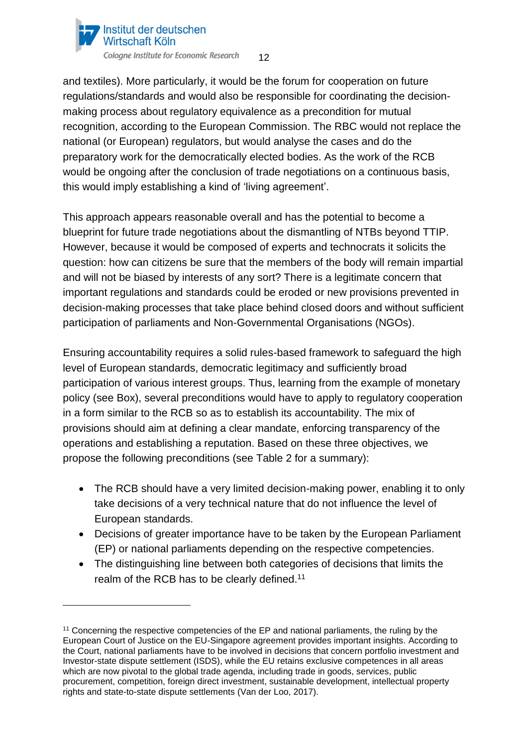

and textiles). More particularly, it would be the forum for cooperation on future regulations/standards and would also be responsible for coordinating the decisionmaking process about regulatory equivalence as a precondition for mutual recognition, according to the European Commission. The RBC would not replace the national (or European) regulators, but would analyse the cases and do the preparatory work for the democratically elected bodies. As the work of the RCB would be ongoing after the conclusion of trade negotiations on a continuous basis, this would imply establishing a kind of 'living agreement'.

This approach appears reasonable overall and has the potential to become a blueprint for future trade negotiations about the dismantling of NTBs beyond TTIP. However, because it would be composed of experts and technocrats it solicits the question: how can citizens be sure that the members of the body will remain impartial and will not be biased by interests of any sort? There is a legitimate concern that important regulations and standards could be eroded or new provisions prevented in decision-making processes that take place behind closed doors and without sufficient participation of parliaments and Non-Governmental Organisations (NGOs).

Ensuring accountability requires a solid rules-based framework to safeguard the high level of European standards, democratic legitimacy and sufficiently broad participation of various interest groups. Thus, learning from the example of monetary policy (see Box), several preconditions would have to apply to regulatory cooperation in a form similar to the RCB so as to establish its accountability. The mix of provisions should aim at defining a clear mandate, enforcing transparency of the operations and establishing a reputation. Based on these three objectives, we propose the following preconditions (see Table 2 for a summary):

- The RCB should have a very limited decision-making power, enabling it to only take decisions of a very technical nature that do not influence the level of European standards.
- Decisions of greater importance have to be taken by the European Parliament (EP) or national parliaments depending on the respective competencies.
- The distinguishing line between both categories of decisions that limits the realm of the RCB has to be clearly defined.<sup>11</sup>

<sup>&</sup>lt;sup>11</sup> Concerning the respective competencies of the EP and national parliaments, the ruling by the European Court of Justice on the EU-Singapore agreement provides important insights. According to the Court, national parliaments have to be involved in decisions that concern portfolio investment and Investor-state dispute settlement (ISDS), while the EU retains exclusive competences in all areas which are now pivotal to the global trade agenda, including trade in goods, services, public procurement, competition, foreign direct investment, sustainable development, intellectual property rights and state-to-state dispute settlements (Van der Loo, 2017).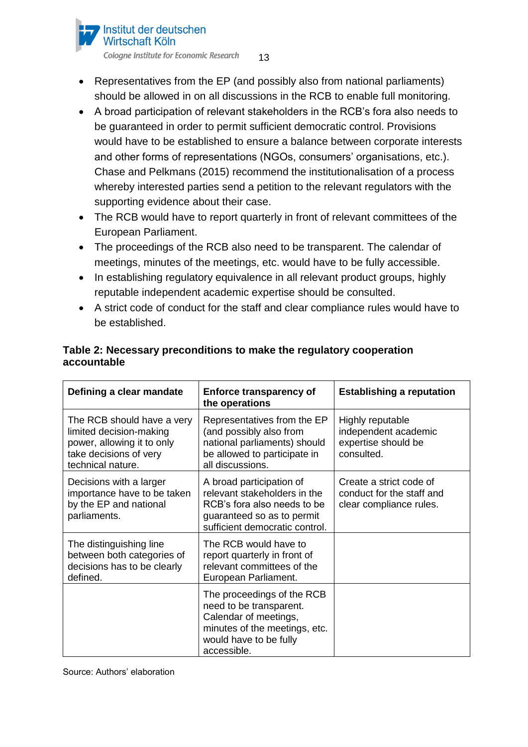#### Institut der deutschen Wirtschaft Köln

Cologne Institute for Economic Research 13

- Representatives from the EP (and possibly also from national parliaments) should be allowed in on all discussions in the RCB to enable full monitoring.
- A broad participation of relevant stakeholders in the RCB's fora also needs to be guaranteed in order to permit sufficient democratic control. Provisions would have to be established to ensure a balance between corporate interests and other forms of representations (NGOs, consumers' organisations, etc.). Chase and Pelkmans (2015) recommend the institutionalisation of a process whereby interested parties send a petition to the relevant regulators with the supporting evidence about their case.
- The RCB would have to report quarterly in front of relevant committees of the European Parliament.
- The proceedings of the RCB also need to be transparent. The calendar of meetings, minutes of the meetings, etc. would have to be fully accessible.
- In establishing regulatory equivalence in all relevant product groups, highly reputable independent academic expertise should be consulted.
- A strict code of conduct for the staff and clear compliance rules would have to be established.

| Defining a clear mandate                                                                                                           | <b>Enforce transparency of</b><br>the operations                                                                                                         | <b>Establishing a reputation</b>                                                |  |  |
|------------------------------------------------------------------------------------------------------------------------------------|----------------------------------------------------------------------------------------------------------------------------------------------------------|---------------------------------------------------------------------------------|--|--|
| The RCB should have a very<br>limited decision-making<br>power, allowing it to only<br>take decisions of very<br>technical nature. | Representatives from the EP<br>(and possibly also from<br>national parliaments) should<br>be allowed to participate in<br>all discussions.               | Highly reputable<br>independent academic<br>expertise should be<br>consulted.   |  |  |
| Decisions with a larger<br>importance have to be taken<br>by the EP and national<br>parliaments.                                   | A broad participation of<br>relevant stakeholders in the<br>RCB's fora also needs to be<br>guaranteed so as to permit<br>sufficient democratic control.  | Create a strict code of<br>conduct for the staff and<br>clear compliance rules. |  |  |
| The distinguishing line<br>between both categories of<br>decisions has to be clearly<br>defined.                                   | The RCB would have to<br>report quarterly in front of<br>relevant committees of the<br>European Parliament.                                              |                                                                                 |  |  |
|                                                                                                                                    | The proceedings of the RCB<br>need to be transparent.<br>Calendar of meetings,<br>minutes of the meetings, etc.<br>would have to be fully<br>accessible. |                                                                                 |  |  |

### **Table 2: Necessary preconditions to make the regulatory cooperation accountable**

Source: Authors' elaboration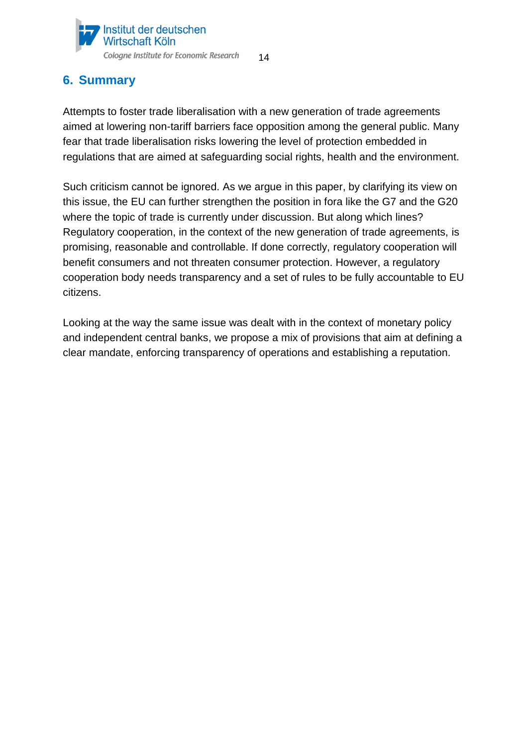

# <span id="page-13-0"></span>**6. Summary**

Attempts to foster trade liberalisation with a new generation of trade agreements aimed at lowering non-tariff barriers face opposition among the general public. Many fear that trade liberalisation risks lowering the level of protection embedded in regulations that are aimed at safeguarding social rights, health and the environment.

Such criticism cannot be ignored. As we argue in this paper, by clarifying its view on this issue, the EU can further strengthen the position in fora like the G7 and the G20 where the topic of trade is currently under discussion. But along which lines? Regulatory cooperation, in the context of the new generation of trade agreements, is promising, reasonable and controllable. If done correctly, regulatory cooperation will benefit consumers and not threaten consumer protection. However, a regulatory cooperation body needs transparency and a set of rules to be fully accountable to EU citizens.

Looking at the way the same issue was dealt with in the context of monetary policy and independent central banks, we propose a mix of provisions that aim at defining a clear mandate, enforcing transparency of operations and establishing a reputation.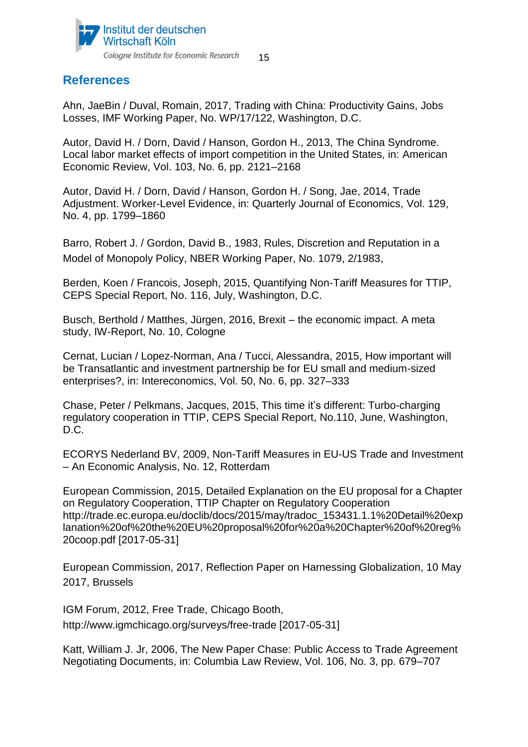

### <span id="page-14-0"></span>**References**

Ahn, JaeBin / Duval, Romain, 2017, Trading with China: Productivity Gains, Jobs Losses, IMF Working Paper, No. WP/17/122, Washington, D.C.

Autor, David H. / Dorn, David / Hanson, Gordon H., 2013, The China Syndrome. Local labor market effects of import competition in the United States, in: American Economic Review, Vol. 103, No. 6, pp. 2121–2168

Autor, David H. / Dorn, David / Hanson, Gordon H. / Song, Jae, 2014, Trade Adjustment. Worker-Level Evidence, in: Quarterly Journal of Economics, Vol. 129, No. 4, pp. 1799–1860

Barro, Robert J. / Gordon, David B., 1983, Rules, Discretion and Reputation in a Model of Monopoly Policy, NBER Working Paper, No. 1079, 2/1983,

Berden, Koen / Francois, Joseph, 2015, Quantifying Non-Tariff Measures for TTIP, CEPS Special Report, No. 116, July, Washington, D.C.

Busch, Berthold / Matthes, Jürgen, 2016, Brexit – the economic impact. A meta study, IW-Report, No. 10, Cologne

Cernat, Lucian / Lopez-Norman, Ana / Tucci, Alessandra, 2015, How important will be Transatlantic and investment partnership be for EU small and medium-sized enterprises?, in: Intereconomics, Vol. 50, No. 6, pp. 327–333

Chase, Peter / Pelkmans, Jacques, 2015, This time it's different: Turbo-charging regulatory cooperation in TTIP, CEPS Special Report, No.110, June, Washington, D.C.

ECORYS Nederland BV, 2009, Non-Tariff Measures in EU-US Trade and Investment – An Economic Analysis, No. 12, Rotterdam

European Commission, 2015, Detailed Explanation on the EU proposal for a Chapter on Regulatory Cooperation, TTIP Chapter on Regulatory Cooperation [http://trade.ec.europa.eu/doclib/docs/2015/may/tradoc\\_153431.1.1%20Detail%20exp](http://trade.ec.europa.eu/doclib/docs/2015/may/tradoc_153431.1.1%20Detail%20explanation%20of%20the%20EU%20proposal%20for%20a%20Chapter%20of%20reg%20coop.pdf) [lanation%20of%20the%20EU%20proposal%20for%20a%20Chapter%20of%20reg%](http://trade.ec.europa.eu/doclib/docs/2015/may/tradoc_153431.1.1%20Detail%20explanation%20of%20the%20EU%20proposal%20for%20a%20Chapter%20of%20reg%20coop.pdf) [20coop.pdf](http://trade.ec.europa.eu/doclib/docs/2015/may/tradoc_153431.1.1%20Detail%20explanation%20of%20the%20EU%20proposal%20for%20a%20Chapter%20of%20reg%20coop.pdf) [2017-05-31]

European Commission, 2017, Reflection Paper on Harnessing Globalization, 10 May 2017, Brussels

IGM Forum, 2012, Free Trade, Chicago Booth, http://www.igmchicago.org/surveys/free-trade [2017-05-31]

Katt, William J. Jr, 2006, The New Paper Chase: Public Access to Trade Agreement Negotiating Documents, in: Columbia Law Review, Vol. 106, No. 3, pp. 679–707